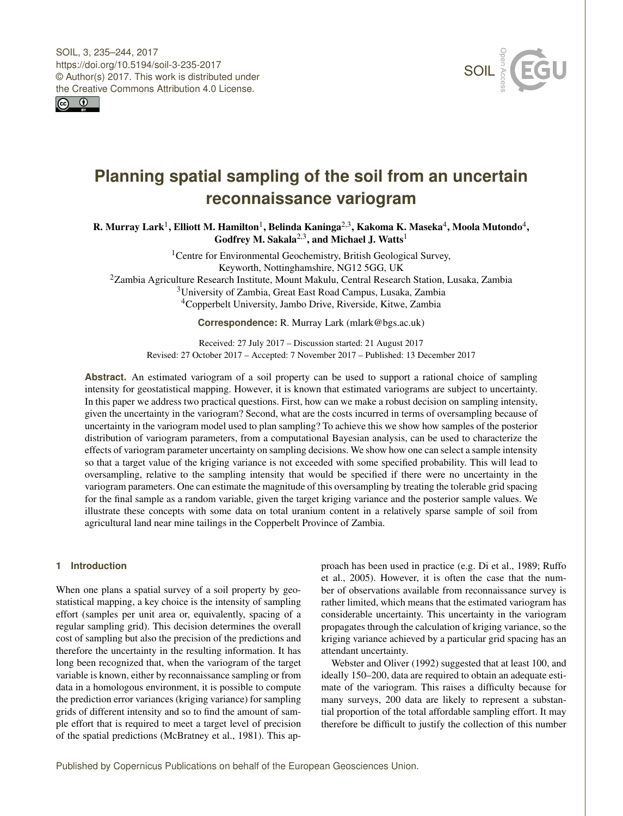<span id="page-0-1"></span>SOIL, 3, 235–244, 2017 https://doi.org/10.5194/soil-3-235-2017 © Author(s) 2017. This work is distributed under the Creative Commons Attribution 4.0 License.

 $\circledcirc$ 



# **Planning spatial sampling of the soil from an uncertain reconnaissance variogram**

R. Murray Lark $^1$  $^1$ , Elliott M. Hamilton $^1$ , Belinda Kaninga $^{2,3}$  $^{2,3}$  $^{2,3}$ , Kakoma K. Maseka $^4$  $^4$ , Moola Mutondo $^4$ , Godfrey M. Sakala<sup>[2,3](#page-0-0)</sup>, and Michael J. Watts<sup>[1](#page-0-0)</sup>

<sup>1</sup> Centre for Environmental Geochemistry, British Geological Survey, Keyworth, Nottinghamshire, NG12 5GG, UK <sup>2</sup>Zambia Agriculture Research Institute, Mount Makulu, Central Research Station, Lusaka, Zambia <sup>3</sup>University of Zambia, Great East Road Campus, Lusaka, Zambia <sup>4</sup>Copperbelt University, Jambo Drive, Riverside, Kitwe, Zambia

**Correspondence:** R. Murray Lark (mlark@bgs.ac.uk)

Received: 27 July 2017 – Discussion started: 21 August 2017 Revised: 27 October 2017 – Accepted: 7 November 2017 – Published: 13 December 2017

**Abstract.** An estimated variogram of a soil property can be used to support a rational choice of sampling intensity for geostatistical mapping. However, it is known that estimated variograms are subject to uncertainty. In this paper we address two practical questions. First, how can we make a robust decision on sampling intensity, given the uncertainty in the variogram? Second, what are the costs incurred in terms of oversampling because of uncertainty in the variogram model used to plan sampling? To achieve this we show how samples of the posterior distribution of variogram parameters, from a computational Bayesian analysis, can be used to characterize the effects of variogram parameter uncertainty on sampling decisions. We show how one can select a sample intensity so that a target value of the kriging variance is not exceeded with some specified probability. This will lead to oversampling, relative to the sampling intensity that would be specified if there were no uncertainty in the variogram parameters. One can estimate the magnitude of this oversampling by treating the tolerable grid spacing for the final sample as a random variable, given the target kriging variance and the posterior sample values. We illustrate these concepts with some data on total uranium content in a relatively sparse sample of soil from agricultural land near mine tailings in the Copperbelt Province of Zambia.

# <span id="page-0-0"></span>**1 Introduction**

When one plans a spatial survey of a soil property by geostatistical mapping, a key choice is the intensity of sampling effort (samples per unit area or, equivalently, spacing of a regular sampling grid). This decision determines the overall cost of sampling but also the precision of the predictions and therefore the uncertainty in the resulting information. It has long been recognized that, when the variogram of the target variable is known, either by reconnaissance sampling or from data in a homologous environment, it is possible to compute the prediction error variances (kriging variance) for sampling grids of different intensity and so to find the amount of sample effort that is required to meet a target level of precision of the spatial predictions [\(McBratney et al.,](#page-9-0) [1981\)](#page-9-0). This approach has been used in practice (e.g. [Di et al.,](#page-8-0) [1989;](#page-8-0) [Ruffo](#page-9-1) [et al.,](#page-9-1) [2005\)](#page-9-1). However, it is often the case that the number of observations available from reconnaissance survey is rather limited, which means that the estimated variogram has considerable uncertainty. This uncertainty in the variogram propagates through the calculation of kriging variance, so the kriging variance achieved by a particular grid spacing has an attendant uncertainty.

[Webster and Oliver](#page-9-2) [\(1992\)](#page-9-2) suggested that at least 100, and ideally 150–200, data are required to obtain an adequate estimate of the variogram. This raises a difficulty because for many surveys, 200 data are likely to represent a substantial proportion of the total affordable sampling effort. It may therefore be difficult to justify the collection of this number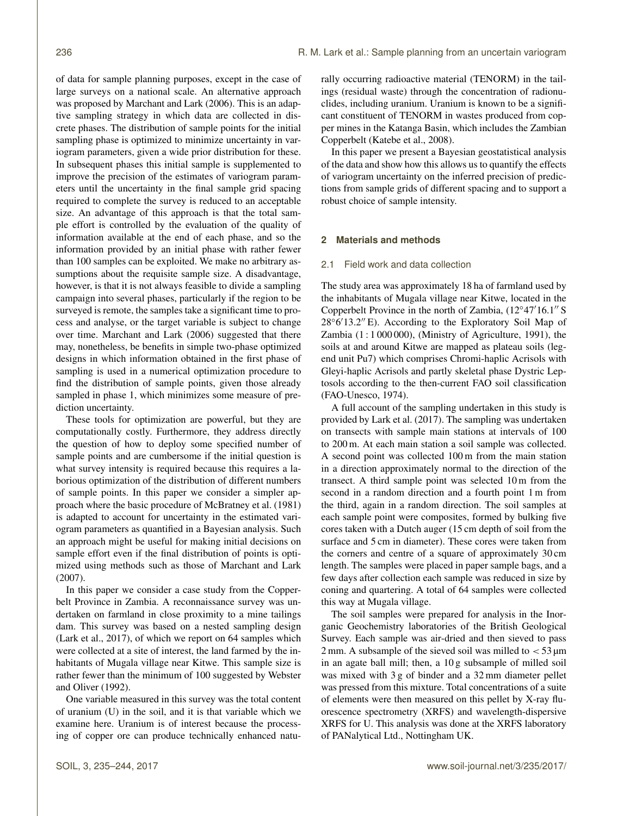of data for sample planning purposes, except in the case of large surveys on a national scale. An alternative approach was proposed by [Marchant and Lark](#page-8-1) [\(2006\)](#page-8-1). This is an adaptive sampling strategy in which data are collected in discrete phases. The distribution of sample points for the initial sampling phase is optimized to minimize uncertainty in variogram parameters, given a wide prior distribution for these. In subsequent phases this initial sample is supplemented to improve the precision of the estimates of variogram parameters until the uncertainty in the final sample grid spacing required to complete the survey is reduced to an acceptable size. An advantage of this approach is that the total sample effort is controlled by the evaluation of the quality of information available at the end of each phase, and so the information provided by an initial phase with rather fewer than 100 samples can be exploited. We make no arbitrary assumptions about the requisite sample size. A disadvantage, however, is that it is not always feasible to divide a sampling campaign into several phases, particularly if the region to be surveyed is remote, the samples take a significant time to process and analyse, or the target variable is subject to change over time. [Marchant and Lark](#page-8-1) [\(2006\)](#page-8-1) suggested that there may, nonetheless, be benefits in simple two-phase optimized designs in which information obtained in the first phase of sampling is used in a numerical optimization procedure to find the distribution of sample points, given those already sampled in phase 1, which minimizes some measure of prediction uncertainty.

These tools for optimization are powerful, but they are computationally costly. Furthermore, they address directly the question of how to deploy some specified number of sample points and are cumbersome if the initial question is what survey intensity is required because this requires a laborious optimization of the distribution of different numbers of sample points. In this paper we consider a simpler approach where the basic procedure of [McBratney et al.](#page-9-0) [\(1981\)](#page-9-0) is adapted to account for uncertainty in the estimated variogram parameters as quantified in a Bayesian analysis. Such an approach might be useful for making initial decisions on sample effort even if the final distribution of points is optimized using methods such as those of [Marchant and Lark](#page-9-3) [\(2007\)](#page-9-3).

In this paper we consider a case study from the Copperbelt Province in Zambia. A reconnaissance survey was undertaken on farmland in close proximity to a mine tailings dam. This survey was based on a nested sampling design [\(Lark et al.,](#page-8-2) [2017\)](#page-8-2), of which we report on 64 samples which were collected at a site of interest, the land farmed by the inhabitants of Mugala village near Kitwe. This sample size is rather fewer than the minimum of 100 suggested by [Webster](#page-9-2) [and Oliver](#page-9-2) [\(1992\)](#page-9-2).

One variable measured in this survey was the total content of uranium (U) in the soil, and it is that variable which we examine here. Uranium is of interest because the processing of copper ore can produce technically enhanced naturally occurring radioactive material (TENORM) in the tailings (residual waste) through the concentration of radionuclides, including uranium. Uranium is known to be a significant constituent of TENORM in wastes produced from copper mines in the Katanga Basin, which includes the Zambian Copperbelt [\(Katebe et al.,](#page-8-3) [2008\)](#page-8-3).

In this paper we present a Bayesian geostatistical analysis of the data and show how this allows us to quantify the effects of variogram uncertainty on the inferred precision of predictions from sample grids of different spacing and to support a robust choice of sample intensity.

## **2 Materials and methods**

## 2.1 Field work and data collection

The study area was approximately 18 ha of farmland used by the inhabitants of Mugala village near Kitwe, located in the Copperbelt Province in the north of Zambia,  $(12°47'16.1'' S)$ 28°6'13.2" E). According to the Exploratory Soil Map of Zambia  $(1:1000000)$ , [\(Ministry of Agriculture,](#page-9-4) [1991\)](#page-9-4), the soils at and around Kitwe are mapped as plateau soils (legend unit Pu7) which comprises Chromi-haplic Acrisols with Gleyi-haplic Acrisols and partly skeletal phase Dystric Leptosols according to the then-current FAO soil classification [\(FAO-Unesco,](#page-8-4) [1974\)](#page-8-4).

A full account of the sampling undertaken in this study is provided by [Lark et al.](#page-8-2) [\(2017\)](#page-8-2). The sampling was undertaken on transects with sample main stations at intervals of 100 to 200 m. At each main station a soil sample was collected. A second point was collected 100 m from the main station in a direction approximately normal to the direction of the transect. A third sample point was selected 10 m from the second in a random direction and a fourth point 1 m from the third, again in a random direction. The soil samples at each sample point were composites, formed by bulking five cores taken with a Dutch auger (15 cm depth of soil from the surface and 5 cm in diameter). These cores were taken from the corners and centre of a square of approximately 30 cm length. The samples were placed in paper sample bags, and a few days after collection each sample was reduced in size by coning and quartering. A total of 64 samples were collected this way at Mugala village.

The soil samples were prepared for analysis in the Inorganic Geochemistry laboratories of the British Geological Survey. Each sample was air-dried and then sieved to pass 2 mm. A subsample of the sieved soil was milled to  $<$  53 µm in an agate ball mill; then, a 10 g subsample of milled soil was mixed with 3 g of binder and a 32 mm diameter pellet was pressed from this mixture. Total concentrations of a suite of elements were then measured on this pellet by X-ray fluorescence spectrometry (XRFS) and wavelength-dispersive XRFS for U. This analysis was done at the XRFS laboratory of PANalytical Ltd., Nottingham UK.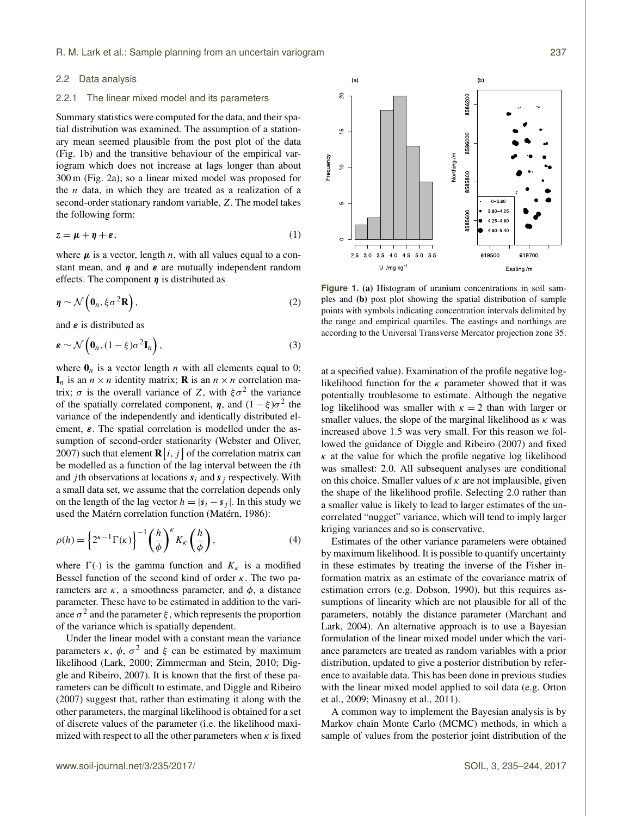#### 2.2 Data analysis

#### 2.2.1 The linear mixed model and its parameters

Summary statistics were computed for the data, and their spatial distribution was examined. The assumption of a stationary mean seemed plausible from the post plot of the data (Fig. 1b) and the transitive behaviour of the empirical variogram which does not increase at lags longer than about 300 m (Fig. 2a); so a linear mixed model was proposed for the  $n$  data, in which they are treated as a realization of a second-order stationary random variable, Z. The model takes the following form:

$$
z = \mu + \eta + \varepsilon,\tag{1}
$$

where  $\mu$  is a vector, length n, with all values equal to a constant mean, and  $\eta$  and  $\varepsilon$  are mutually independent random effects. The component  $\eta$  is distributed as

$$
\eta \sim \mathcal{N}\left(\mathbf{0}_n, \xi \sigma^2 \mathbf{R}\right),\tag{2}
$$

and  $\varepsilon$  is distributed as

$$
\boldsymbol{\varepsilon} \sim \mathcal{N}\left(\mathbf{0}_n, (1-\xi)\sigma^2 \mathbf{I}_n\right),\tag{3}
$$

where  $\mathbf{0}_n$  is a vector length *n* with all elements equal to 0;  $I_n$  is an  $n \times n$  identity matrix; **R** is an  $n \times n$  correlation matrix;  $\sigma$  is the overall variance of Z, with  $\xi \sigma^2$  the variance of the spatially correlated component,  $\eta$ , and  $(1 - \xi)\sigma^2$  the variance of the independently and identically distributed element,  $\varepsilon$ . The spatial correlation is modelled under the assumption of second-order stationarity (Webster and Oliver, 2007) such that element  $\mathbf{R}[i, j]$  of the correlation matrix can be modelled as a function of the lag interval between the *i*th and *j*th observations at locations  $s_i$  and  $s_j$  respectively. With a small data set, we assume that the correlation depends only on the length of the lag vector  $h = |s_i - s_j|$ . In this study we used the Matérn correlation function [\(Matérn,](#page-9-5) [1986\)](#page-9-5):

$$
\rho(h) = \left\{ 2^{\kappa - 1} \Gamma(\kappa) \right\}^{-1} \left( \frac{h}{\phi} \right)^{\kappa} K_{\kappa} \left( \frac{h}{\phi} \right),\tag{4}
$$

where  $\Gamma(\cdot)$  is the gamma function and  $K_k$  is a modified Bessel function of the second kind of order  $\kappa$ . The two parameters are  $\kappa$ , a smoothness parameter, and  $\phi$ , a distance parameter. These have to be estimated in addition to the variance  $\sigma^2$  and the parameter  $\xi$ , which represents the proportion of the variance which is spatially dependent.

Under the linear model with a constant mean the variance parameters  $\kappa$ ,  $\phi$ ,  $\sigma^2$  and  $\xi$  can be estimated by maximum likelihood [\(Lark,](#page-8-5) [2000;](#page-8-5) [Zimmerman and Stein,](#page-9-6) [2010;](#page-9-6) [Dig](#page-8-6)[gle and Ribeiro,](#page-8-6) [2007\)](#page-8-6). It is known that the first of these parameters can be difficult to estimate, and [Diggle and Ribeiro](#page-8-6) [\(2007\)](#page-8-6) suggest that, rather than estimating it along with the other parameters, the marginal likelihood is obtained for a set of discrete values of the parameter (i.e. the likelihood maximized with respect to all the other parameters when  $\kappa$  is fixed



**Figure 1.** (a) Histogram of uranium concentrations in soil samples and (b) post plot showing the spatial distribution of sample points with symbols indicating concentration intervals delimited by the range and empirical quartiles. The eastings and northings are according to the Universal Transverse Mercator projection zone 35.

at a specified value). Examination of the profile negative loglikelihood function for the  $\kappa$  parameter showed that it was potentially troublesome to estimate. Although the negative log likelihood was smaller with  $\kappa = 2$  than with larger or smaller values, the slope of the marginal likelihood as  $\kappa$  was increased above 1.5 was very small. For this reason we followed the guidance of [Diggle and Ribeiro](#page-8-6) [\(2007\)](#page-8-6) and fixed  $\kappa$  at the value for which the profile negative log likelihood was smallest: 2.0. All subsequent analyses are conditional on this choice. Smaller values of  $\kappa$  are not implausible, given the shape of the likelihood profile. Selecting 2.0 rather than a smaller value is likely to lead to larger estimates of the uncorrelated "nugget" variance, which will tend to imply larger kriging variances and so is conservative.

Estimates of the other variance parameters were obtained by maximum likelihood. It is possible to quantify uncertainty in these estimates by treating the inverse of the Fisher information matrix as an estimate of the covariance matrix of estimation errors (e.g. [Dobson,](#page-8-7) [1990\)](#page-8-7), but this requires assumptions of linearity which are not plausible for all of the parameters, notably the distance parameter [\(Marchant and](#page-8-8) [Lark,](#page-8-8) [2004\)](#page-8-8). An alternative approach is to use a Bayesian formulation of the linear mixed model under which the variance parameters are treated as random variables with a prior distribution, updated to give a posterior distribution by reference to available data. This has been done in previous studies with the linear mixed model applied to soil data (e.g. [Orton](#page-9-7) [et al.,](#page-9-7) [2009;](#page-9-7) [Minasny et al.,](#page-9-8) [2011\)](#page-9-8).

A common way to implement the Bayesian analysis is by Markov chain Monte Carlo (MCMC) methods, in which a sample of values from the posterior joint distribution of the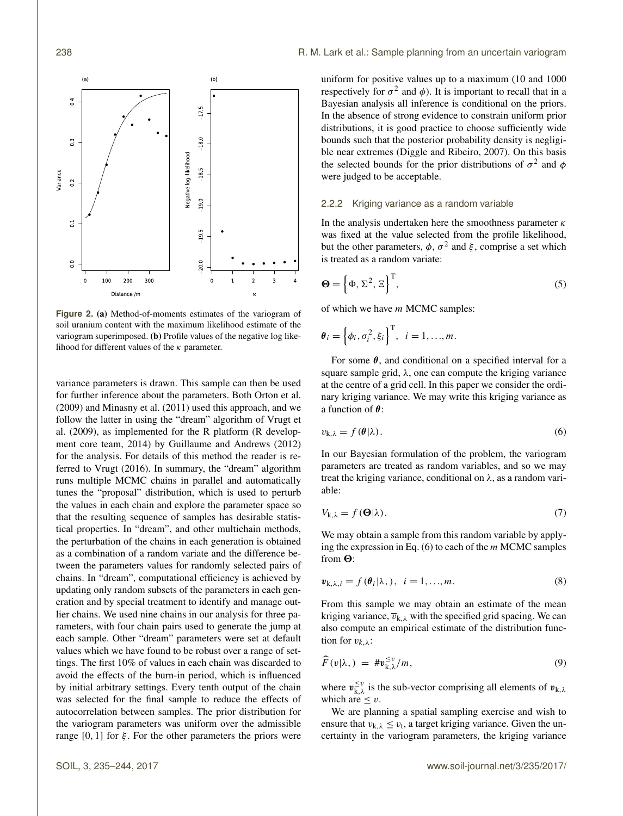

**Figure 2.** (a) Method-of-moments estimates of the variogram of soil uranium content with the maximum likelihood estimate of the variogram superimposed. (b) Profile values of the negative log likelihood for different values of the  $\kappa$  parameter.

variance parameters is drawn. This sample can then be used for further inference about the parameters. Both [Orton et al.](#page-9-7) [\(2009\)](#page-9-7) and [Minasny et al.](#page-9-8) [\(2011\)](#page-9-8) used this approach, and we follow the latter in using the "dream" algorithm of [Vrugt et](#page-9-9) [al.](#page-9-9) [\(2009\)](#page-9-9), as implemented for the R platform [\(R develop](#page-9-10)[ment core team,](#page-9-10) [2014\)](#page-9-10) by [Guillaume and Andrews](#page-8-9) [\(2012\)](#page-8-9) for the analysis. For details of this method the reader is referred to [Vrugt](#page-9-11) [\(2016\)](#page-9-11). In summary, the "dream" algorithm runs multiple MCMC chains in parallel and automatically tunes the "proposal" distribution, which is used to perturb the values in each chain and explore the parameter space so that the resulting sequence of samples has desirable statistical properties. In "dream", and other multichain methods, the perturbation of the chains in each generation is obtained as a combination of a random variate and the difference between the parameters values for randomly selected pairs of chains. In "dream", computational efficiency is achieved by updating only random subsets of the parameters in each generation and by special treatment to identify and manage outlier chains. We used nine chains in our analysis for three parameters, with four chain pairs used to generate the jump at each sample. Other "dream" parameters were set at default values which we have found to be robust over a range of settings. The first 10% of values in each chain was discarded to avoid the effects of the burn-in period, which is influenced by initial arbitrary settings. Every tenth output of the chain was selected for the final sample to reduce the effects of autocorrelation between samples. The prior distribution for the variogram parameters was uniform over the admissible range  $[0, 1]$  for  $\xi$ . For the other parameters the priors were uniform for positive values up to a maximum (10 and 1000 respectively for  $\sigma^2$  and  $\phi$ ). It is important to recall that in a Bayesian analysis all inference is conditional on the priors. In the absence of strong evidence to constrain uniform prior distributions, it is good practice to choose sufficiently wide bounds such that the posterior probability density is negligible near extremes [\(Diggle and Ribeiro,](#page-8-6) [2007\)](#page-8-6). On this basis the selected bounds for the prior distributions of  $\sigma^2$  and  $\phi$ were judged to be acceptable.

## 2.2.2 Kriging variance as a random variable

In the analysis undertaken here the smoothness parameter  $\kappa$ was fixed at the value selected from the profile likelihood, but the other parameters,  $\phi$ ,  $\sigma^2$  and  $\xi$ , comprise a set which is treated as a random variate:

$$
\mathbf{\Theta} = \left\{ \Phi, \Sigma^2, \Xi \right\}^{\mathrm{T}},\tag{5}
$$

of which we have  $m$  MCMC samples:

$$
\boldsymbol{\theta}_i = \left\{\phi_i, \sigma_i^2, \xi_i\right\}^{\mathrm{T}}, \ \ i = 1, \ldots, m.
$$

For some  $\theta$ , and conditional on a specified interval for a square sample grid,  $\lambda$ , one can compute the kriging variance at the centre of a grid cell. In this paper we consider the ordinary kriging variance. We may write this kriging variance as a function of  $\theta$ :

<span id="page-3-0"></span>
$$
v_{k,\lambda} = f(\theta|\lambda). \tag{6}
$$

In our Bayesian formulation of the problem, the variogram parameters are treated as random variables, and so we may treat the kriging variance, conditional on  $\lambda$ , as a random variable:

$$
V_{k,\lambda} = f(\mathbf{\Theta}|\lambda). \tag{7}
$$

We may obtain a sample from this random variable by applying the expression in Eq.  $(6)$  to each of the *m* MCMC samples from  $\Theta$ :

$$
\mathbf{v}_{k,\lambda,i} = f(\theta_i|\lambda,,), \quad i = 1,...,m. \tag{8}
$$

From this sample we may obtain an estimate of the mean kriging variance,  $\overline{v}_{k,\lambda}$  with the specified grid spacing. We can also compute an empirical estimate of the distribution function for  $v_{k,\lambda}$ :

<span id="page-3-1"></span>
$$
\widehat{F}(v|\lambda,\,)=\,\#\mathfrak{v}_{k,\lambda}^{\leq v}/m,\qquad\qquad(9)
$$

where  $\mathbf{v}_{k,\lambda}^{\leq v}$  is the sub-vector comprising all elements of  $\mathbf{v}_{k,\lambda}$ which are  $\leq v$ .

We are planning a spatial sampling exercise and wish to ensure that  $v_{k,\lambda} \leq v_t$ , a target kriging variance. Given the uncertainty in the variogram parameters, the kriging variance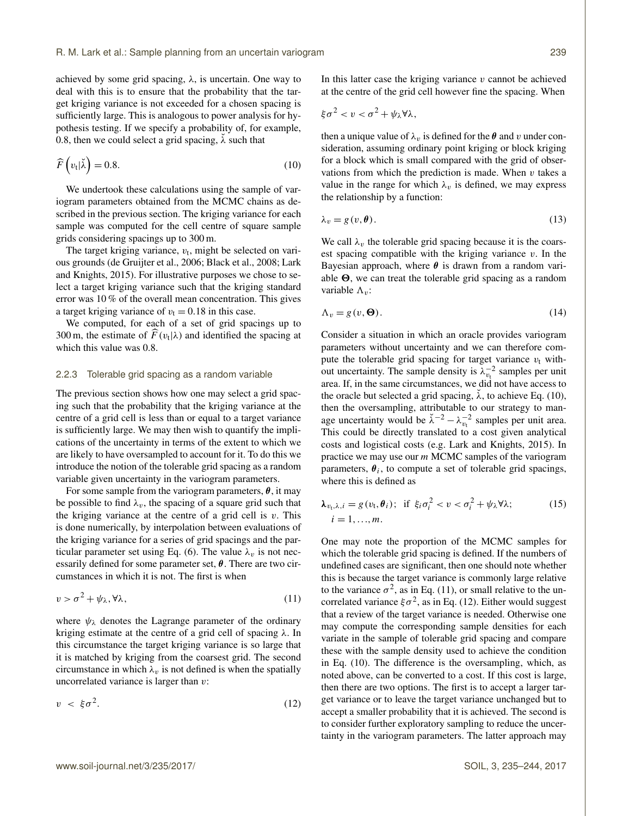achieved by some grid spacing,  $\lambda$ , is uncertain. One way to deal with this is to ensure that the probability that the target kriging variance is not exceeded for a chosen spacing is sufficiently large. This is analogous to power analysis for hypothesis testing. If we specify a probability of, for example, 0.8, then we could select a grid spacing,  $\lambda$  such that

$$
\widehat{F}\left(v_{t}|\widetilde{\lambda}\right) = 0.8.\tag{10}
$$

We undertook these calculations using the sample of variogram parameters obtained from the MCMC chains as described in the previous section. The kriging variance for each sample was computed for the cell centre of square sample grids considering spacings up to 300 m.

The target kriging variance,  $v_t$ , might be selected on various grounds [\(de Gruijter et al.,](#page-8-10) [2006;](#page-8-10) [Black et al.,](#page-8-11) [2008;](#page-8-11) [Lark](#page-8-12) [and Knights,](#page-8-12) [2015\)](#page-8-12). For illustrative purposes we chose to select a target kriging variance such that the kriging standard error was 10 % of the overall mean concentration. This gives a target kriging variance of  $v_t = 0.18$  in this case.

We computed, for each of a set of grid spacings up to 300 m, the estimate of  $\widehat{F}(v_t|\lambda)$  and identified the spacing at which this value was 0.8.

## 2.2.3 Tolerable grid spacing as a random variable

The previous section shows how one may select a grid spacing such that the probability that the kriging variance at the centre of a grid cell is less than or equal to a target variance is sufficiently large. We may then wish to quantify the implications of the uncertainty in terms of the extent to which we are likely to have oversampled to account for it. To do this we introduce the notion of the tolerable grid spacing as a random variable given uncertainty in the variogram parameters.

For some sample from the variogram parameters,  $\theta$ , it may be possible to find  $\lambda_v$ , the spacing of a square grid such that the kriging variance at the centre of a grid cell is  $v$ . This is done numerically, by interpolation between evaluations of the kriging variance for a series of grid spacings and the par-ticular parameter set using Eq. [\(6\)](#page-3-0). The value  $\lambda_v$  is not necessarily defined for some parameter set,  $\theta$ . There are two circumstances in which it is not. The first is when

$$
v > \sigma^2 + \psi_{\lambda}, \forall \lambda,
$$
 (11)

where  $\psi_{\lambda}$  denotes the Lagrange parameter of the ordinary kriging estimate at the centre of a grid cell of spacing  $\lambda$ . In this circumstance the target kriging variance is so large that it is matched by kriging from the coarsest grid. The second circumstance in which  $\lambda_v$  is not defined is when the spatially uncorrelated variance is larger than  $v$ :

<span id="page-4-2"></span>
$$
v \, < \, \xi \sigma^2. \tag{12}
$$

In this latter case the kriging variance  $v$  cannot be achieved at the centre of the grid cell however fine the spacing. When

$$
\xi \sigma^2 < v < \sigma^2 + \psi_\lambda \forall \lambda,
$$

<span id="page-4-0"></span>then a unique value of  $\lambda_v$  is defined for the  $\theta$  and v under consideration, assuming ordinary point kriging or block kriging for a block which is small compared with the grid of observations from which the prediction is made. When  $v$  takes a value in the range for which  $\lambda_v$  is defined, we may express the relationship by a function:

$$
\lambda_v = g(v, \theta). \tag{13}
$$

We call  $\lambda_v$  the tolerable grid spacing because it is the coarsest spacing compatible with the kriging variance  $v$ . In the Bayesian approach, where  $\theta$  is drawn from a random variable  $\Theta$ , we can treat the tolerable grid spacing as a random variable  $\Lambda_v$ :

$$
\Lambda_v = g(v, \mathbf{\Theta}).\tag{14}
$$

Consider a situation in which an oracle provides variogram parameters without uncertainty and we can therefore compute the tolerable grid spacing for target variance  $v_t$  without uncertainty. The sample density is  $\lambda_{v_t}^{-2}$  samples per unit area. If, in the same circumstances, we did not have access to the oracle but selected a grid spacing,  $\lambda$ , to achieve Eq. [\(10\)](#page-4-0), then the oversampling, attributable to our strategy to manage uncertainty would be  $\lambda^{-2} - \lambda_{\nu_t}^{-2}$  samples per unit area. This could be directly translated to a cost given analytical costs and logistical costs (e.g. [Lark and Knights,](#page-8-12) [2015\)](#page-8-12). In practice we may use our m MCMC samples of the variogram parameters,  $\theta_i$ , to compute a set of tolerable grid spacings, where this is defined as

<span id="page-4-3"></span>
$$
\begin{aligned} \lambda_{v_t, \lambda, i} &= g\left(v_t, \theta_i\right); \text{ if } \xi_i \sigma_i^2 < v < \sigma_i^2 + \psi_\lambda \forall \lambda; \quad (15) \\ i &= 1, \dots, m. \end{aligned}
$$

<span id="page-4-1"></span>One may note the proportion of the MCMC samples for which the tolerable grid spacing is defined. If the numbers of undefined cases are significant, then one should note whether this is because the target variance is commonly large relative to the variance  $\sigma^2$ , as in Eq. [\(11\)](#page-4-1), or small relative to the uncorrelated variance  $\xi \sigma^2$ , as in Eq. [\(12\)](#page-4-2). Either would suggest that a review of the target variance is needed. Otherwise one may compute the corresponding sample densities for each variate in the sample of tolerable grid spacing and compare these with the sample density used to achieve the condition in Eq. [\(10\)](#page-4-0). The difference is the oversampling, which, as noted above, can be converted to a cost. If this cost is large, then there are two options. The first is to accept a larger target variance or to leave the target variance unchanged but to accept a smaller probability that it is achieved. The second is to consider further exploratory sampling to reduce the uncertainty in the variogram parameters. The latter approach may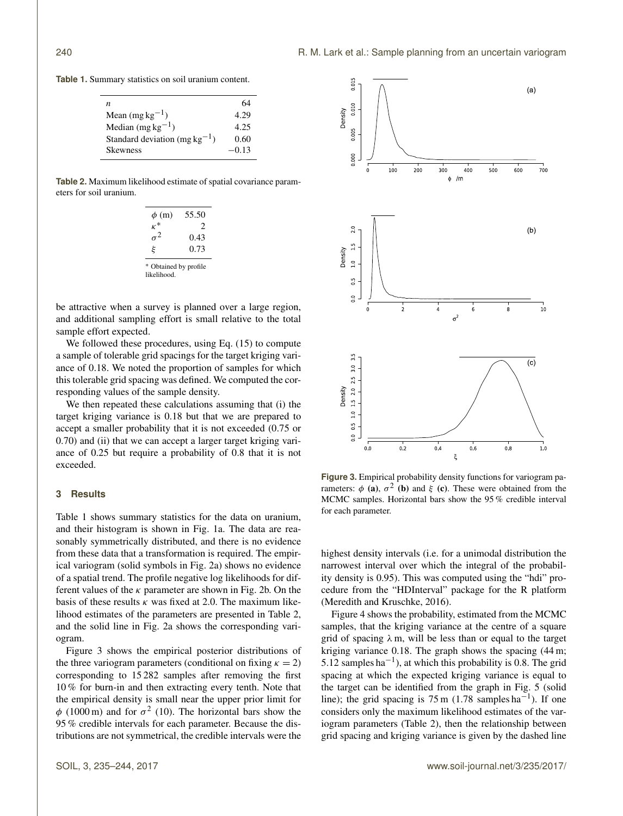**Table 1.** Summary statistics on soil uranium content.

| n                                         | 64      |
|-------------------------------------------|---------|
| Mean $(mgkg^{-1})$                        | 4.29    |
| Median $(mg kg^{-1})$                     | 4.25    |
| Standard deviation (mg kg <sup>-1</sup> ) | 0.60    |
| <b>Skewness</b>                           | $-0.13$ |
|                                           |         |

**Table 2.** Maximum likelihood estimate of spatial covariance parameters for soil uranium.

| $\phi$ (m)                           | 55.50 |
|--------------------------------------|-------|
| $\kappa^*$                           | 2     |
| $\sigma^2$                           | 0.43  |
| ξ                                    | 0.73  |
| * Obtained by profile<br>likelihood. |       |

be attractive when a survey is planned over a large region, and additional sampling effort is small relative to the total sample effort expected.

We followed these procedures, using Eq.  $(15)$  to compute a sample of tolerable grid spacings for the target kriging variance of 0.18. We noted the proportion of samples for which this tolerable grid spacing was defined. We computed the corresponding values of the sample density.

We then repeated these calculations assuming that (i) the target kriging variance is 0.18 but that we are prepared to accept a smaller probability that it is not exceeded (0.75 or 0.70) and (ii) that we can accept a larger target kriging variance of 0.25 but require a probability of 0.8 that it is not exceeded.

## **3 Results**

Table 1 shows summary statistics for the data on uranium, and their histogram is shown in Fig. 1a. The data are reasonably symmetrically distributed, and there is no evidence from these data that a transformation is required. The empirical variogram (solid symbols in Fig. 2a) shows no evidence of a spatial trend. The profile negative log likelihoods for different values of the  $\kappa$  parameter are shown in Fig. 2b. On the basis of these results  $\kappa$  was fixed at 2.0. The maximum likelihood estimates of the parameters are presented in Table 2, and the solid line in Fig. 2a shows the corresponding variogram.

Figure 3 shows the empirical posterior distributions of the three variogram parameters (conditional on fixing  $\kappa = 2$ ) corresponding to 15 282 samples after removing the first 10 % for burn-in and then extracting every tenth. Note that the empirical density is small near the upper prior limit for  $\phi$  (1000 m) and for  $\sigma^2$  (10). The horizontal bars show the 95 % credible intervals for each parameter. Because the distributions are not symmetrical, the credible intervals were the



**Figure 3.** Empirical probability density functions for variogram parameters:  $\phi$  (a),  $\sigma^2$  (b) and  $\xi$  (c). These were obtained from the MCMC samples. Horizontal bars show the 95 % credible interval for each parameter.

highest density intervals (i.e. for a unimodal distribution the narrowest interval over which the integral of the probability density is 0.95). This was computed using the "hdi" procedure from the "HDInterval" package for the R platform [\(Meredith and Kruschke,](#page-9-12) [2016\)](#page-9-12).

Figure 4 shows the probability, estimated from the MCMC samples, that the kriging variance at the centre of a square grid of spacing  $\lambda$  m, will be less than or equal to the target kriging variance 0.18. The graph shows the spacing (44 m; 5.12 samples ha<sup> $-1$ </sup>), at which this probability is 0.8. The grid spacing at which the expected kriging variance is equal to the target can be identified from the graph in Fig. 5 (solid line); the grid spacing is  $75 \text{ m}$  (1.78 samples ha<sup>-1</sup>). If one considers only the maximum likelihood estimates of the variogram parameters (Table 2), then the relationship between grid spacing and kriging variance is given by the dashed line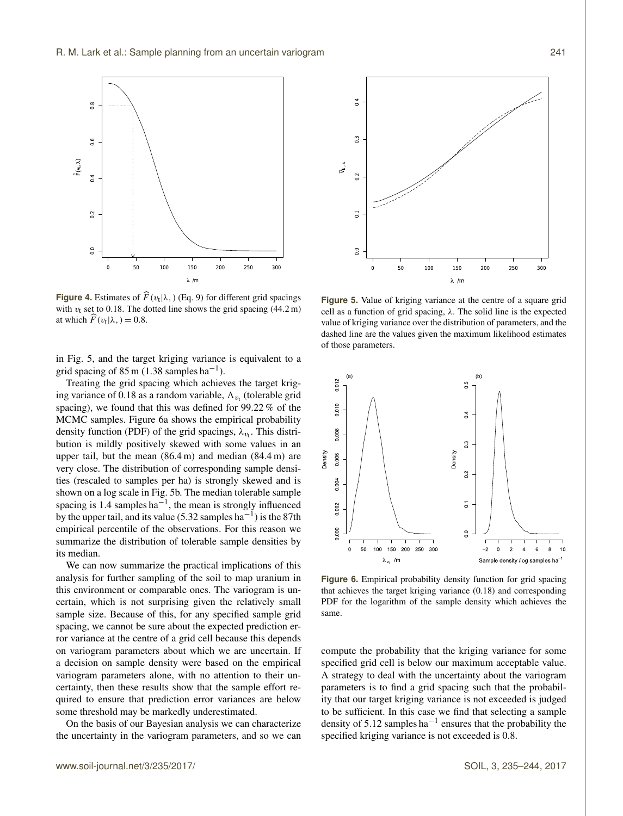

**Figure 4.** Estimates of  $\overline{F}(v_t|\lambda)$  (Eq. [9\)](#page-3-1) for different grid spacings with  $v_t$  set to 0.18. The dotted line shows the grid spacing (44.2 m) at which  $\widehat{F}(v_t|\lambda,) = 0.8$ .

in Fig. 5, and the target kriging variance is equivalent to a grid spacing of  $85 \text{ m}$  (1.38 samples ha<sup>-1</sup>).

Treating the grid spacing which achieves the target kriging variance of 0.18 as a random variable,  $\Lambda_{v_t}$  (tolerable grid spacing), we found that this was defined for 99.22 % of the MCMC samples. Figure 6a shows the empirical probability density function (PDF) of the grid spacings,  $\lambda_{v_t}$ . This distribution is mildly positively skewed with some values in an upper tail, but the mean (86.4 m) and median (84.4 m) are very close. The distribution of corresponding sample densities (rescaled to samples per ha) is strongly skewed and is shown on a log scale in Fig. 5b. The median tolerable sample spacing is  $1.4$  samples ha<sup>-1</sup>, the mean is strongly influenced by the upper tail, and its value (5.32 samples  $ha^{-1}$ ) is the 87th empirical percentile of the observations. For this reason we summarize the distribution of tolerable sample densities by its median.

We can now summarize the practical implications of this analysis for further sampling of the soil to map uranium in this environment or comparable ones. The variogram is uncertain, which is not surprising given the relatively small sample size. Because of this, for any specified sample grid spacing, we cannot be sure about the expected prediction error variance at the centre of a grid cell because this depends on variogram parameters about which we are uncertain. If a decision on sample density were based on the empirical variogram parameters alone, with no attention to their uncertainty, then these results show that the sample effort required to ensure that prediction error variances are below some threshold may be markedly underestimated.

On the basis of our Bayesian analysis we can characterize the uncertainty in the variogram parameters, and so we can



**Figure 5.** Value of kriging variance at the centre of a square grid cell as a function of grid spacing,  $\lambda$ . The solid line is the expected value of kriging variance over the distribution of parameters, and the dashed line are the values given the maximum likelihood estimates of those parameters.



**Figure 6.** Empirical probability density function for grid spacing that achieves the target kriging variance (0.18) and corresponding PDF for the logarithm of the sample density which achieves the same.

compute the probability that the kriging variance for some specified grid cell is below our maximum acceptable value. A strategy to deal with the uncertainty about the variogram parameters is to find a grid spacing such that the probability that our target kriging variance is not exceeded is judged to be sufficient. In this case we find that selecting a sample density of 5.12 samples ha−<sup>1</sup> ensures that the probability the specified kriging variance is not exceeded is 0.8.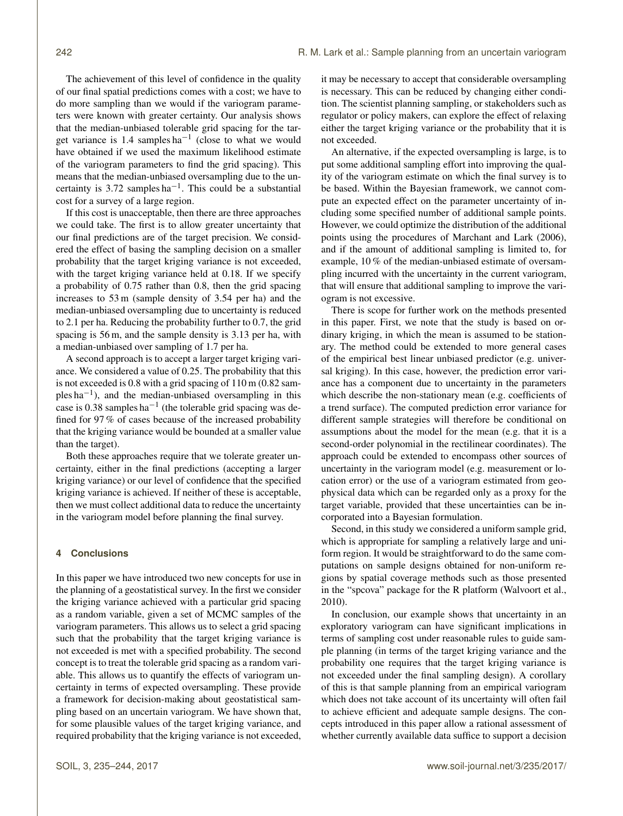The achievement of this level of confidence in the quality of our final spatial predictions comes with a cost; we have to do more sampling than we would if the variogram parameters were known with greater certainty. Our analysis shows that the median-unbiased tolerable grid spacing for the target variance is 1.4 samples  $ha^{-1}$  (close to what we would have obtained if we used the maximum likelihood estimate of the variogram parameters to find the grid spacing). This means that the median-unbiased oversampling due to the uncertainty is 3.72 samples  $ha^{-1}$ . This could be a substantial cost for a survey of a large region.

If this cost is unacceptable, then there are three approaches we could take. The first is to allow greater uncertainty that our final predictions are of the target precision. We considered the effect of basing the sampling decision on a smaller probability that the target kriging variance is not exceeded, with the target kriging variance held at 0.18. If we specify a probability of 0.75 rather than 0.8, then the grid spacing increases to 53 m (sample density of 3.54 per ha) and the median-unbiased oversampling due to uncertainty is reduced to 2.1 per ha. Reducing the probability further to 0.7, the grid spacing is 56 m, and the sample density is 3.13 per ha, with a median-unbiased over sampling of 1.7 per ha.

A second approach is to accept a larger target kriging variance. We considered a value of 0.25. The probability that this is not exceeded is 0.8 with a grid spacing of 110 m (0.82 samples ha−<sup>1</sup> ), and the median-unbiased oversampling in this case is 0.38 samples ha−<sup>1</sup> (the tolerable grid spacing was defined for 97 % of cases because of the increased probability that the kriging variance would be bounded at a smaller value than the target).

Both these approaches require that we tolerate greater uncertainty, either in the final predictions (accepting a larger kriging variance) or our level of confidence that the specified kriging variance is achieved. If neither of these is acceptable, then we must collect additional data to reduce the uncertainty in the variogram model before planning the final survey.

## **4 Conclusions**

In this paper we have introduced two new concepts for use in the planning of a geostatistical survey. In the first we consider the kriging variance achieved with a particular grid spacing as a random variable, given a set of MCMC samples of the variogram parameters. This allows us to select a grid spacing such that the probability that the target kriging variance is not exceeded is met with a specified probability. The second concept is to treat the tolerable grid spacing as a random variable. This allows us to quantify the effects of variogram uncertainty in terms of expected oversampling. These provide a framework for decision-making about geostatistical sampling based on an uncertain variogram. We have shown that, for some plausible values of the target kriging variance, and required probability that the kriging variance is not exceeded, it may be necessary to accept that considerable oversampling is necessary. This can be reduced by changing either condition. The scientist planning sampling, or stakeholders such as regulator or policy makers, can explore the effect of relaxing either the target kriging variance or the probability that it is not exceeded.

An alternative, if the expected oversampling is large, is to put some additional sampling effort into improving the quality of the variogram estimate on which the final survey is to be based. Within the Bayesian framework, we cannot compute an expected effect on the parameter uncertainty of including some specified number of additional sample points. However, we could optimize the distribution of the additional points using the procedures of [Marchant and Lark](#page-8-1) [\(2006\)](#page-8-1), and if the amount of additional sampling is limited to, for example, 10 % of the median-unbiased estimate of oversampling incurred with the uncertainty in the current variogram, that will ensure that additional sampling to improve the variogram is not excessive.

There is scope for further work on the methods presented in this paper. First, we note that the study is based on ordinary kriging, in which the mean is assumed to be stationary. The method could be extended to more general cases of the empirical best linear unbiased predictor (e.g. universal kriging). In this case, however, the prediction error variance has a component due to uncertainty in the parameters which describe the non-stationary mean (e.g. coefficients of a trend surface). The computed prediction error variance for different sample strategies will therefore be conditional on assumptions about the model for the mean (e.g. that it is a second-order polynomial in the rectilinear coordinates). The approach could be extended to encompass other sources of uncertainty in the variogram model (e.g. measurement or location error) or the use of a variogram estimated from geophysical data which can be regarded only as a proxy for the target variable, provided that these uncertainties can be incorporated into a Bayesian formulation.

Second, in this study we considered a uniform sample grid, which is appropriate for sampling a relatively large and uniform region. It would be straightforward to do the same computations on sample designs obtained for non-uniform regions by spatial coverage methods such as those presented in the "spcova" package for the R platform [\(Walvoort et al.,](#page-9-13) [2010\)](#page-9-13).

In conclusion, our example shows that uncertainty in an exploratory variogram can have significant implications in terms of sampling cost under reasonable rules to guide sample planning (in terms of the target kriging variance and the probability one requires that the target kriging variance is not exceeded under the final sampling design). A corollary of this is that sample planning from an empirical variogram which does not take account of its uncertainty will often fail to achieve efficient and adequate sample designs. The concepts introduced in this paper allow a rational assessment of whether currently available data suffice to support a decision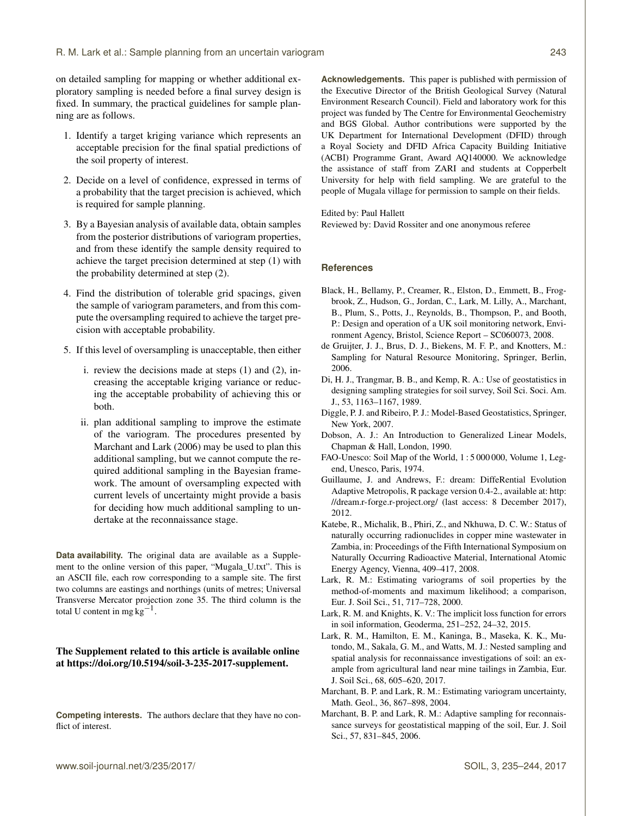on detailed sampling for mapping or whether additional exploratory sampling is needed before a final survey design is fixed. In summary, the practical guidelines for sample planning are as follows.

- 1. Identify a target kriging variance which represents an acceptable precision for the final spatial predictions of the soil property of interest.
- 2. Decide on a level of confidence, expressed in terms of a probability that the target precision is achieved, which is required for sample planning.
- 3. By a Bayesian analysis of available data, obtain samples from the posterior distributions of variogram properties, and from these identify the sample density required to achieve the target precision determined at step (1) with the probability determined at step (2).
- 4. Find the distribution of tolerable grid spacings, given the sample of variogram parameters, and from this compute the oversampling required to achieve the target precision with acceptable probability.
- 5. If this level of oversampling is unacceptable, then either
	- i. review the decisions made at steps (1) and (2), increasing the acceptable kriging variance or reducing the acceptable probability of achieving this or both.
	- ii. plan additional sampling to improve the estimate of the variogram. The procedures presented by [Marchant and Lark](#page-8-1) [\(2006\)](#page-8-1) may be used to plan this additional sampling, but we cannot compute the required additional sampling in the Bayesian framework. The amount of oversampling expected with current levels of uncertainty might provide a basis for deciding how much additional sampling to undertake at the reconnaissance stage.

**Data availability.** The original data are available as a Supplement to the online version of this paper, "Mugala\_U.txt". This is an ASCII file, each row corresponding to a sample site. The first two columns are eastings and northings (units of metres; Universal Transverse Mercator projection zone 35. The third column is the total U content in mg  $kg^{-1}$ .

# The Supplement related to this article is available online at [https://doi.org/10.5194/soil-3-235-2017-supplement.](https://doi.org/10.5194/soil-3-235-2017-supplement)

**Competing interests.** The authors declare that they have no conflict of interest.

**Acknowledgements.** This paper is published with permission of the Executive Director of the British Geological Survey (Natural Environment Research Council). Field and laboratory work for this project was funded by The Centre for Environmental Geochemistry and BGS Global. Author contributions were supported by the UK Department for International Development (DFID) through a Royal Society and DFID Africa Capacity Building Initiative (ACBI) Programme Grant, Award AQ140000. We acknowledge the assistance of staff from ZARI and students at Copperbelt University for help with field sampling. We are grateful to the people of Mugala village for permission to sample on their fields.

#### Edited by: Paul Hallett

Reviewed by: David Rossiter and one anonymous referee

# **References**

- <span id="page-8-11"></span>Black, H., Bellamy, P., Creamer, R., Elston, D., Emmett, B., Frogbrook, Z., Hudson, G., Jordan, C., Lark, M. Lilly, A., Marchant, B., Plum, S., Potts, J., Reynolds, B., Thompson, P., and Booth, P.: Design and operation of a UK soil monitoring network, Environment Agency, Bristol, Science Report – SC060073, 2008.
- <span id="page-8-10"></span>de Gruijter, J. J., Brus, D. J., Biekens, M. F. P., and Knotters, M.: Sampling for Natural Resource Monitoring, Springer, Berlin, 2006.
- <span id="page-8-0"></span>Di, H. J., Trangmar, B. B., and Kemp, R. A.: Use of geostatistics in designing sampling strategies for soil survey, Soil Sci. Soci. Am. J., 53, 1163–1167, 1989.
- <span id="page-8-6"></span>Diggle, P. J. and Ribeiro, P. J.: Model-Based Geostatistics, Springer, New York, 2007.
- <span id="page-8-7"></span>Dobson, A. J.: An Introduction to Generalized Linear Models, Chapman & Hall, London, 1990.
- <span id="page-8-4"></span>FAO-Unesco: Soil Map of the World, 1 : 5 000 000, Volume 1, Legend, Unesco, Paris, 1974.
- <span id="page-8-9"></span>Guillaume, J. and Andrews, F.: dream: DiffeRential Evolution Adaptive Metropolis, R package version 0.4-2., available at: [http:](http://dream.r-forge.r-project.org/) [//dream.r-forge.r-project.org/](http://dream.r-forge.r-project.org/) (last access: 8 December 2017), 2012.
- <span id="page-8-3"></span>Katebe, R., Michalik, B., Phiri, Z., and Nkhuwa, D. C. W.: Status of naturally occurring radionuclides in copper mine wastewater in Zambia, in: Proceedings of the Fifth International Symposium on Naturally Occurring Radioactive Material, International Atomic Energy Agency, Vienna, 409–417, 2008.
- <span id="page-8-5"></span>Lark, R. M.: Estimating variograms of soil properties by the method-of-moments and maximum likelihood; a comparison, Eur. J. Soil Sci., 51, 717–728, 2000.
- <span id="page-8-12"></span>Lark, R. M. and Knights, K. V.: The implicit loss function for errors in soil information, Geoderma, 251–252, 24–32, 2015.
- <span id="page-8-2"></span>Lark, R. M., Hamilton, E. M., Kaninga, B., Maseka, K. K., Mutondo, M., Sakala, G. M., and Watts, M. J.: Nested sampling and spatial analysis for reconnaissance investigations of soil: an example from agricultural land near mine tailings in Zambia, Eur. J. Soil Sci., 68, 605–620, 2017.
- <span id="page-8-8"></span>Marchant, B. P. and Lark, R. M.: Estimating variogram uncertainty, Math. Geol., 36, 867–898, 2004.
- <span id="page-8-1"></span>Marchant, B. P. and Lark, R. M.: Adaptive sampling for reconnaissance surveys for geostatistical mapping of the soil, Eur. J. Soil Sci., 57, 831–845, 2006.